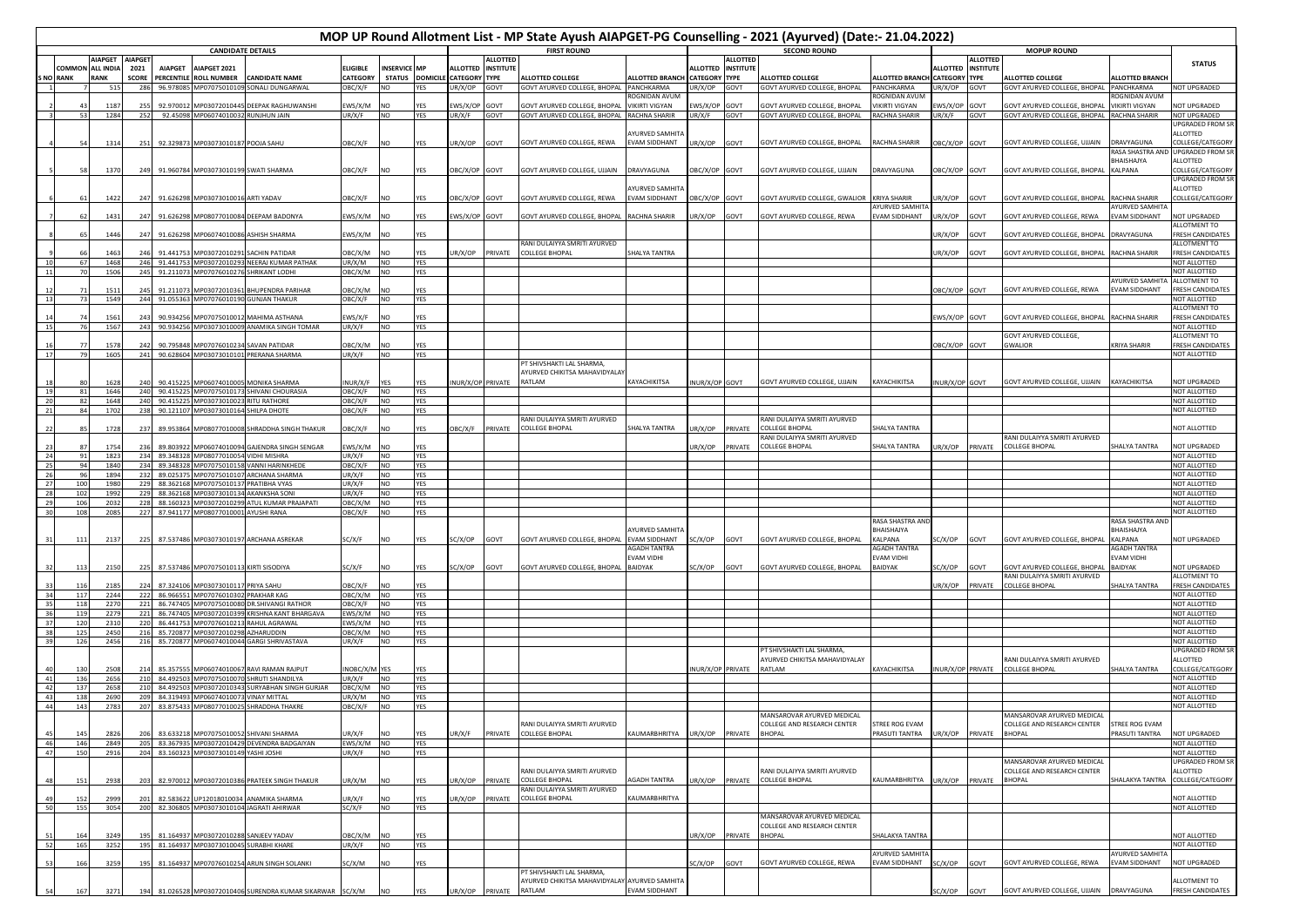|          |                |                  |                 |                        |                                         | <b>CANDIDATE DETAILS</b>                                                              |                          |                        |                   | MOP UP Round Allotment List - MP State Ayush AIAPGET-PG Counselling - 2021 (Ayurved) (Date:- 21.04.2022)<br><b>FIRST ROUND</b> |                 |                                                          |                        |                      |                 | <b>SECOND ROUND</b>                           |                                      |                    |                  |                                                              |                                       |                                         |
|----------|----------------|------------------|-----------------|------------------------|-----------------------------------------|---------------------------------------------------------------------------------------|--------------------------|------------------------|-------------------|--------------------------------------------------------------------------------------------------------------------------------|-----------------|----------------------------------------------------------|------------------------|----------------------|-----------------|-----------------------------------------------|--------------------------------------|--------------------|------------------|--------------------------------------------------------------|---------------------------------------|-----------------------------------------|
|          |                | IAPGET AIAPGET   |                 |                        |                                         |                                                                                       |                          |                        |                   |                                                                                                                                | <b>ALLOTTED</b> |                                                          |                        |                      | <b>ALLOTTED</b> |                                               |                                      |                    | <b>ALLOTTED</b>  | <b>MOPUP ROUND</b>                                           |                                       | <b>STATUS</b>                           |
|          | <b>COMMON</b>  | <b>ALL INDIA</b> | 2021            | <b>AIAPGET</b>         | AIAPGET 2021                            |                                                                                       | <b>ELIGIBLE</b>          | <b>INSERVICE MP</b>    |                   | ALLOTTED INSTITUTE                                                                                                             |                 |                                                          |                        | ALLOTTED INSTITUTE   |                 |                                               |                                      | ALLOTTED INSTITUTE |                  |                                                              |                                       |                                         |
|          | <b>NO RANK</b> | <b>RANK</b>      |                 |                        | <b>SCORE PERCENTILE ROLL NUMBER</b>     | <b>CANDIDATE NAME</b>                                                                 | <b>CATEGORY</b>          |                        |                   | STATUS DOMICILE CATEGORY TYPE                                                                                                  |                 | <b>ALLOTTED COLLEGE</b>                                  | <b>ALLOTTED BRANCH</b> | <b>CATEGORY TYPE</b> |                 | <b>ALLOTTED COLLEGE</b>                       | <b>ALLOTTED BRANCH CATEGORY TYPE</b> |                    |                  | <b>ALLOTTED COLLEGE</b>                                      | <b>ALLOTTED BRANCH</b>                |                                         |
|          |                | 515              | 286             |                        | 96.978085 MP07075010109                 | SONALI DUNGARWAL                                                                      | OBC/X/F                  | NO                     | YES               | UR/X/OP                                                                                                                        | GOVT            | GOVT AYURVED COLLEGE, BHOPAL PANCHKARMA                  | DGNIDAN AVUI           | UR/X/OP GOVT         |                 | GOVT AYURVED COLLEGE, BHOPAL                  | PANCHKARMA<br>OGNIDAN AVU            | UR/X/OP GOVT       |                  | GOVT AYURVED COLLEGE, BHOPAL PANCHKARMA                      | OGNIDAN AVUI                          | NOT UPGRADED                            |
|          |                | 1187             |                 | 92.97001               | AP03072010445                           | DEEPAK RAGHUWANSHI                                                                    | :WS/X/M                  | NO.                    | YES               | WS/X/OP                                                                                                                        | GOVI            | GOVT AYURVED COLLEGE, BHOPA                              | <b>VIKIRTI VIGYAN</b>  | :WS/X/OP             | GOVT            | <b>GOVT AYURVED COLLEGE, BHOPAL</b>           | <b>/IKIRTI VIGYAN</b>                | WS/X/OP            | GOVT             | GOVT AVURVED COLLEGE RHOPAL                                  | <b>VIKIRTI VIGYAN</b>                 | <b>IOT UPGRADED</b>                     |
|          | 53             | 1284             | 252             |                        | 92.45098 MP06074010032 RUNJHUN JAIN     |                                                                                       | UR/X/F                   | <b>NO</b>              | YES               | UR/X/F                                                                                                                         | GOVT            | GOVT AYURVED COLLEGE, BHOPAL                             | RACHNA SHARIR          | UR/X/F               | GOVT            | GOVT AYURVED COLLEGE, BHOPAL                  | RACHNA SHARIR                        | UR/X/F             | GOVT             | GOVT AYURVED COLLEGE, BHOPAL RACHNA SHARIR                   |                                       | NOT UPGRADED                            |
|          |                |                  |                 |                        |                                         |                                                                                       |                          |                        |                   |                                                                                                                                |                 |                                                          |                        |                      |                 |                                               |                                      |                    |                  |                                                              |                                       | JPGRADED FROM SR                        |
|          |                |                  |                 |                        |                                         |                                                                                       |                          |                        |                   |                                                                                                                                |                 |                                                          | YURVED SAMHIT          |                      |                 |                                               |                                      |                    |                  |                                                              |                                       | ALLOTTED                                |
|          |                | 1314             | - 25            |                        | 92.329873 MP03073010187 POOJA SAHU      |                                                                                       | DBC/X/F                  | NO.                    | YES               | JR/X/OP                                                                                                                        | GOVT            | GOVT AYURVED COLLEGE, REWA                               | VAM SIDDHANT           | UR/X/OP GOVT         |                 | GOVT AYURVED COLLEGE, BHOPAL                  | RACHNA SHARIR                        | DBC/X/OP GOVT      |                  | GOVT AYURVED COLLEGE, UJJAIN                                 | DRAVYAGUNA<br>RASA SHASTRA AN         | COLLEGE/CATEGORY<br>JPGRADED FROM SR    |
|          |                |                  |                 |                        |                                         |                                                                                       |                          |                        |                   |                                                                                                                                |                 |                                                          |                        |                      |                 |                                               |                                      |                    |                  |                                                              | BHAISHAJYA                            | ALLOTTED                                |
|          |                | 1370             | 24              |                        | 91.960784 MP03073010199 SWATI SHARMA    |                                                                                       | DBC/X/F                  | NO.                    | YES               | DBC/X/OP GOVT                                                                                                                  |                 | GOVT AYURVED COLLEGE, UJJAIN                             | DRAVYAGUNA             | BC/X/OP GOVT         |                 | GOVT AYURVED COLLEGE, UJJAIN                  | DRAVYAGUNA                           | DBC/X/OP GOVT      |                  | GOVT AYURVED COLLEGE, BHOPAL                                 | KALPANA                               | COLLEGE/CATEGORY                        |
|          |                |                  |                 |                        |                                         |                                                                                       |                          |                        |                   |                                                                                                                                |                 |                                                          |                        |                      |                 |                                               |                                      |                    |                  |                                                              |                                       | JPGRADED FROM SR                        |
|          |                |                  |                 |                        |                                         |                                                                                       |                          |                        |                   |                                                                                                                                |                 |                                                          | <b>YURVED SAMHIT</b>   |                      |                 |                                               |                                      |                    |                  |                                                              |                                       | ALLOTTED                                |
|          |                | 1422             | 247             | 91.626298              | MP03073010016 ARTI YADAV                |                                                                                       | DBC/X/F                  | NO                     | YES               | BC/X/OP                                                                                                                        | GOVT            | GOVT AYURVED COLLEGE, REWA                               | <b>EVAM SIDDHANT</b>   | OBC/X/OP             | GOVT            | GOVT AYURVED COLLEGE, GWALIOR                 | <b>CRIYA SHARIR</b>                  | JR/X/OP            | GOVT             | GOVT AYURVED COLLEGE, BHOPAL                                 | RACHNA SHARIR                         | COLLEGE/CATEGORY                        |
|          |                | 1431             | 24              | 91.626298              | MP08077010084                           | DEEPAM BADONYA                                                                        | WS/X/M                   | NO                     | YES               | WS/X/OP                                                                                                                        | GOVT            | GOVT AYURVED COLLEGE, BHOPAL                             | RACHNA SHARIR          | JR/X/OP GOVT         |                 | GOVT AYURVED COLLEGE, REWA                    | YURVED SAMHI'<br>VAM SIDDHANT        | IR/X/OP            | <b>GOVT</b>      | <b>GOVT AYURVED COLLEGE, REWA</b>                            | <b>YURVED SAMHIT</b><br>EVAM SIDDHANT | <b>IOT UPGRADED</b>                     |
|          |                |                  |                 |                        |                                         |                                                                                       |                          |                        |                   |                                                                                                                                |                 |                                                          |                        |                      |                 |                                               |                                      |                    |                  |                                                              |                                       | <b>ILLOTMENT TO</b>                     |
|          |                | 1446             | 2 <sup>2</sup>  | 91.62629               |                                         | MP06074010086 ASHISH SHARMA                                                           | WS/X/M NO                |                        | YES               |                                                                                                                                |                 |                                                          |                        |                      |                 |                                               |                                      | JR/X/OP            | <b>GOVT</b>      | <b>GOVT AYURVED COLLEGE, BHOPAL</b>                          | DRAVYAGUNA                            | <b>RESH CANDIDATES</b>                  |
|          |                |                  |                 |                        |                                         |                                                                                       |                          |                        |                   |                                                                                                                                |                 | RANI DULAIYYA SMRITI AYURVED                             |                        |                      |                 |                                               |                                      |                    |                  |                                                              |                                       | ALLOTMENT TO                            |
|          |                |                  |                 | 91.44175               | MP0307201029                            | <b>ACHIN PATIDAR</b>                                                                  | BC/X/M                   | N <sub>O</sub>         | YES               | JR/X/OP                                                                                                                        | PRIVATE         | <b>COLLEGE BHOPAL</b>                                    | SHALYA TANTRA          |                      |                 |                                               |                                      | IR/X/OP            | <b>BOVT</b>      | GOVT AYURVED COLLEGE, BHOPAL                                 | RACHNA SHARIR                         | <b>RESH CANDIDATES</b>                  |
|          |                | 1468<br>1506     | 246<br>245      |                        |                                         | 91.441753 MP03072010293 NEERAJ KUMAR PATHAK<br>91.211073 MP07076010276 SHRIKANT LODHI | UR/X/M<br>OBC/X/M NO     | <b>NO</b>              | YES<br>YES        |                                                                                                                                |                 |                                                          |                        |                      |                 |                                               |                                      |                    |                  |                                                              |                                       | NOT ALLOTTED<br>NOT ALLOTTED            |
|          |                |                  |                 |                        |                                         |                                                                                       |                          |                        |                   |                                                                                                                                |                 |                                                          |                        |                      |                 |                                               |                                      |                    |                  |                                                              | <b>AYURVED SAMHIT</b>                 | ALLOTMENT TO                            |
|          |                | 151              |                 | 91.21107               | MP03072010361                           | <b>BHUPENDRA PARIHAR</b>                                                              | BC/X/M                   | N <sub>O</sub>         | YES               |                                                                                                                                |                 |                                                          |                        |                      |                 |                                               |                                      | DBC/X/OP           | <b>GOVT</b>      | GOVT AYURVED COLLEGE, REWA                                   | VAM SIDDHANT                          | <b>RESH CANDIDATES</b>                  |
| -13      |                | 1549             | 244             |                        |                                         | 91.055363 MP07076010190 GUNJAN THAKUR                                                 | OBC/X/F                  | <b>NO</b>              | <b>YES</b>        |                                                                                                                                |                 |                                                          |                        |                      |                 |                                               |                                      |                    |                  |                                                              |                                       | NOT ALLOTTED                            |
|          |                |                  |                 |                        |                                         | MAHIMA ASTHANA                                                                        |                          |                        |                   |                                                                                                                                |                 |                                                          |                        |                      |                 |                                               |                                      |                    |                  |                                                              | <b>RACHNA SHARIR</b>                  | ALLOTMENT TO                            |
| 15       |                | 156<br>1567      | $2\ell$<br>243  | 90.93425<br>90.934256  | AP0707501001                            | MP03073010009 ANAMIKA SINGH TOMAR                                                     | WS/X/F<br>UR/X/F         | NO<br><b>NO</b>        | YFS<br>YES        |                                                                                                                                |                 |                                                          |                        |                      |                 |                                               |                                      | WS/X/OP            | <b>SOVT</b>      | GOVT AYURVED COLLEGE, BHOPAL                                 |                                       | <b>FRESH CANDIDATES</b><br>NOT ALLOTTED |
|          |                |                  |                 |                        |                                         |                                                                                       |                          |                        |                   |                                                                                                                                |                 |                                                          |                        |                      |                 |                                               |                                      |                    |                  | GOVT AYURVED COLLEGE,                                        |                                       | ALLOTMENT TO                            |
|          |                | 1578             | 24              | 90.79584               | MP07076010234                           | <b>SAVAN PATIDAR</b>                                                                  | BC/X/M                   | NO.                    | YES               |                                                                                                                                |                 |                                                          |                        |                      |                 |                                               |                                      | BC/X/OP            | GOVT             | GWALIOR                                                      | <b>KRIYA SHARIR</b>                   | <b>RESH CANDIDATES</b>                  |
| 17       | 79             | 1605             | 241             |                        |                                         | 90.628604 MP03073010101 PRERANA SHARMA                                                | UR/X/F                   | <b>NO</b>              | <b>YES</b>        |                                                                                                                                |                 |                                                          |                        |                      |                 |                                               |                                      |                    |                  |                                                              |                                       | NOT ALLOTTED                            |
|          |                |                  |                 |                        |                                         |                                                                                       |                          |                        |                   |                                                                                                                                |                 | PT SHIVSHAKTI LAL SHARMA.                                |                        |                      |                 |                                               |                                      |                    |                  |                                                              |                                       |                                         |
|          |                | 1621             |                 | 90.41522               |                                         | MP06074010005 MONIKA SHARMA                                                           | <b>NUR/X/F</b>           | YFS                    | YFS               | NUR/X/OP PRIVATE                                                                                                               |                 | AYURVED CHIKITSA MAHAVIDYALA<br>RATLAM                   | KAYACHIKITSA           | NUR/X/OP GOVT        |                 | GOVT AYURVED COLLEGE, UJJAIN                  | <b>AYACHIKITSA</b>                   | NUR/X/OP GOVT      |                  | GOVT AYURVED COLLEGE, UJJAIN                                 | KAYACHIKITSA                          | NOT UPGRADED                            |
| 19       |                | 1646             |                 | 90.41522               | MP07075010173                           | SHIVANI CHOURASIA                                                                     | BC/X/F                   | <b>NO</b>              | YES               |                                                                                                                                |                 |                                                          |                        |                      |                 |                                               |                                      |                    |                  |                                                              |                                       | NOT ALLOTTED                            |
|          |                | 1648             |                 | 90.41522               | MP03073010023                           | <b>RITU RATHORE</b>                                                                   | DBC/X/F                  | NO                     | YES               |                                                                                                                                |                 |                                                          |                        |                      |                 |                                               |                                      |                    |                  |                                                              |                                       | NOT ALLOTTED                            |
|          |                | 1702             |                 | 90.121107              | MP03073010164 SHILPA DHOTE              |                                                                                       | BC/X/F                   | NO                     | YES               |                                                                                                                                |                 |                                                          |                        |                      |                 |                                               |                                      |                    |                  |                                                              |                                       | NOT ALLOTTED                            |
|          |                | 1728             | 2 <sup>5</sup>  | 89.95386               |                                         | MP08077010008 SHRADDHA SINGH THAKUR                                                   | BC/X/F                   | NO                     | YES               | DBC/X/F                                                                                                                        | PRIVATE         | RANI DULAIYYA SMRITI AYURVED<br><b>COLLEGE BHOPAL</b>    | SHALYA TANTRA          | JR/X/OP              | PRIVATE         | RANI DULAIYYA SMRITI AYURVED<br>OLLEGE BHOPAL | <b>HALYA TANTRA</b>                  |                    |                  |                                                              |                                       | <b>VOT ALLOTTED</b>                     |
|          |                |                  |                 |                        |                                         |                                                                                       |                          |                        |                   |                                                                                                                                |                 |                                                          |                        |                      |                 | ANI DULAIYYA SMRITI AYURVED                   |                                      |                    |                  | RANI DULAIYYA SMRITI AYURVED                                 |                                       |                                         |
|          |                | 1754             |                 | 89.80392               |                                         | 1P06074010094 GAJENDRA SINGH SENGAR                                                   | WS/X/M                   | NO                     | YES               |                                                                                                                                |                 |                                                          |                        | JR/X/OP              | PRIVATE         | <b>COLLEGE BHOPAL</b>                         | HALYA TANTRA                         | R/X/OP             | PRIVATE          | <b>COLLEGE BHOPAL</b>                                        | <b>SHALYA TANTRA</b>                  | <b>NOT UPGRADED</b>                     |
|          |                | 1823             | 234             | 89.34832               | AP08077010054                           | VIDHI MISHRA                                                                          | JR/X/F                   | NO                     | YES               |                                                                                                                                |                 |                                                          |                        |                      |                 |                                               |                                      |                    |                  |                                                              |                                       | NOT ALLOTTED                            |
|          |                | 1840             |                 | 89.34832               | P07075010158                            | VANNI HARINKHEDE                                                                      | BC/X/F                   | NO.                    | YES               |                                                                                                                                |                 |                                                          |                        |                      |                 |                                               |                                      |                    |                  |                                                              |                                       | NOT ALLOTTED                            |
|          |                | 1894<br>1980     |                 | 89.02537<br>88.3621    | P07075010107<br>P07075010137            | <b>ARCHANA SHARMA</b><br>PRATIBHA VYAS                                                | JR/X/F<br>JR/X/F         | NO<br>NO.              | YES<br>YES        |                                                                                                                                |                 |                                                          |                        |                      |                 |                                               |                                      |                    |                  |                                                              |                                       | NOT ALLOTTED<br>NOT ALLOTTED            |
|          |                | 1992             |                 | 88.3621                | P03073010134                            | <b>AKANKSHA SONI</b>                                                                  | JR/X/F                   | NO.                    | YES               |                                                                                                                                |                 |                                                          |                        |                      |                 |                                               |                                      |                    |                  |                                                              |                                       | NOT ALLOTTED                            |
|          | 10f            | 2032             |                 | 88.16032               | P03072010299                            | ATUL KUMAR PRAJAPATI                                                                  | BC/X/M                   | NΩ                     | YES               |                                                                                                                                |                 |                                                          |                        |                      |                 |                                               |                                      |                    |                  |                                                              |                                       | NOT ALLOTTED                            |
| 30       | 108            | 2085             | 227             | 87.94117               | MP08077010001 AYUSHI RANA               |                                                                                       | DBC/X/F                  | NO                     | YES               |                                                                                                                                |                 |                                                          |                        |                      |                 |                                               |                                      |                    |                  |                                                              |                                       | NOT ALLOTTED                            |
|          |                |                  |                 |                        |                                         |                                                                                       |                          |                        |                   |                                                                                                                                |                 |                                                          | <b>AYURVED SAMHIT</b>  |                      |                 |                                               | RASA SHASTRA AN<br><b>BHAISHAJYA</b> |                    |                  |                                                              | RASA SHASTRA AN<br>BHAISHAJYA         |                                         |
|          | 111            | 2137             | 225             |                        |                                         | 87.537486 MP03073010197 ARCHANA ASREKAF                                               | C/X/F                    | <b>NO</b>              | YES               | SC/X/OP                                                                                                                        | GOVT            | GOVT AYURVED COLLEGE, BHOPAL                             | EVAM SIDDHANT          | SC/X/OP GOVT         |                 | GOVT AYURVED COLLEGE, BHOPAL                  | <b>ALPANA</b>                        | SC/X/OP            | GOVT             | GOVT AYURVED COLLEGE, BHOPAL KALPANA                         |                                       | <b>IOT UPGRADED</b>                     |
|          |                |                  |                 |                        |                                         |                                                                                       |                          |                        |                   |                                                                                                                                |                 |                                                          | AGADH TANTRA           |                      |                 |                                               | <b>AGADH TANTRA</b>                  |                    |                  |                                                              | AGADH TANTRA                          |                                         |
|          |                |                  |                 |                        |                                         |                                                                                       |                          |                        |                   |                                                                                                                                |                 |                                                          | EVAM VIDHI             |                      |                 |                                               | <b>EVAM VIDHI</b>                    |                    |                  |                                                              | EVAM VIDHI                            |                                         |
|          | 113            | 2150             | 225             |                        | 87.537486 MP07075010113 KIRTI SISODIYA  |                                                                                       | C/X/F                    | <b>NO</b>              | YES               | SC/X/OP                                                                                                                        | GOVT            | GOVT AYURVED COLLEGE, BHOPAL                             | <b>BAIDYAK</b>         | GOVT GOVT            |                 | GOVT AYURVED COLLEGE, BHOPAL                  | <b>BAIDYAK</b>                       | SC/X/OP            | <b>TVOG</b>      | GOVT AYURVED COLLEGE, BHOPAL<br>RANI DULAIYYA SMRITI AYURVED | BAIDYAK                               | <b>IOT UPGRADED</b><br>ALLOTMENT TO     |
|          | 116            | 2185             | 224             | 87.324106              | MP03073010117 PRIYA SAHU                |                                                                                       | DBC/X/F                  | <b>NO</b>              | YES               |                                                                                                                                |                 |                                                          |                        |                      |                 |                                               |                                      | JR/X/OP            | PRIVATE          | <b>COLLEGE BHOPAL</b>                                        | SHALYA TANTRA                         | <b>RESH CANDIDATES</b>                  |
|          | 117            | 2244             | 222             |                        | 86.966551 MP07076010302 PRAKHAR KAG     |                                                                                       | OBC/X/M NO               |                        | <b>YES</b>        |                                                                                                                                |                 |                                                          |                        |                      |                 |                                               |                                      |                    |                  |                                                              |                                       | NOT ALLOTTED                            |
|          | 118            | 2270             | 221             |                        |                                         | 86.747405 MP07075010080 DR.SHIVANGI RATHOR                                            | OBC/X/F                  | <b>NO</b>              | <b>YES</b>        |                                                                                                                                |                 |                                                          |                        |                      |                 |                                               |                                      |                    |                  |                                                              |                                       | NOT ALLOTTED                            |
|          | 119            | 2279             | 221             |                        |                                         | 86.747405 MP03072010399 KRISHNA KANT BHARGAVA                                         | EWS/X/M NO               |                        | YES               |                                                                                                                                |                 |                                                          |                        |                      |                 |                                               |                                      |                    |                  |                                                              |                                       | NOT ALLOTTED                            |
|          | 120<br>125     | 2310<br>2450     | 220<br>216      |                        | 85.720877 MP03072010298 AZHARUDDIN      | 86.441753 MP07076010213 RAHUL AGRAWAL                                                 | EWS/X/M NO<br>OBC/X/M NO |                        | YES<br><b>YES</b> |                                                                                                                                |                 |                                                          |                        |                      |                 |                                               |                                      |                    |                  |                                                              |                                       | NOT ALLOTTED<br>NOT ALLOTTED            |
|          | 126            | 2456             |                 |                        |                                         | 216 85.720877 MP06074010044 GARGI SHRIVASTAVA                                         | UR/X/F                   | <b>NO</b>              | YES               |                                                                                                                                |                 |                                                          |                        |                      |                 |                                               |                                      |                    |                  |                                                              |                                       | NOT ALLOTTED                            |
|          |                |                  |                 |                        |                                         |                                                                                       |                          |                        |                   |                                                                                                                                |                 |                                                          |                        |                      |                 | PT SHIVSHAKTI LAL SHARMA                      |                                      |                    |                  |                                                              |                                       | JPGRADED FROM SF                        |
|          |                |                  |                 |                        |                                         |                                                                                       |                          |                        |                   |                                                                                                                                |                 |                                                          |                        |                      |                 | AYURVED CHIKITSA MAHAVIDYALAY                 |                                      |                    |                  | RANI DULAIYYA SMRITI AYURVED                                 |                                       | ALLOTTED                                |
|          |                | 2508             |                 | 85.35755               |                                         | MP06074010067 RAVI RAMAN RAIPUT                                                       | NOBC/X/M YES             |                        | YFS               |                                                                                                                                |                 |                                                          |                        | NUR/X/OP PRIVATE     |                 | RATLAM                                        | <b>AYACHIKITSA</b>                   | INUR/X/OP PRIVATE  |                  | <b>COLLEGE BHOPAL</b>                                        | HALYA TANTRA                          | COLLEGE/CATEGORY                        |
|          | 136<br>137     | 2656<br>2658     | 210<br>210      | 84.492503<br>84.492503 | MP07075010070                           | SHRUTI SHANDILYA<br>MP03072010343 SURYABHAN SINGH GURJAR                              | JR/X/F                   | <b>NO</b>              | YES               |                                                                                                                                |                 |                                                          |                        |                      |                 |                                               |                                      |                    |                  |                                                              |                                       | NOT ALLOTTED<br>NOT ALLOTTED            |
|          | 138            | 2690             | 20 <sup>0</sup> | 84.319493              | MP06074010073                           | <b>VINAY MITTAL</b>                                                                   | ОВС/Х/М<br>JR/X/M        | <b>NO</b><br><b>NO</b> | YES<br>YES        |                                                                                                                                |                 |                                                          |                        |                      |                 |                                               |                                      |                    |                  |                                                              |                                       | NOT ALLOTTED                            |
| 44       | 143            | 2783             | 207             |                        |                                         | 83.875433 MP08077010025 SHRADDHA THAKRE                                               | DBC/X/F                  | <b>NO</b>              | YES               |                                                                                                                                |                 |                                                          |                        |                      |                 |                                               |                                      |                    |                  |                                                              |                                       | NOT ALLOTTED                            |
|          |                |                  |                 |                        |                                         |                                                                                       |                          |                        |                   |                                                                                                                                |                 |                                                          |                        |                      |                 | MANSAROVAR AYURVED MEDICAL                    |                                      |                    |                  | MANSAROVAR AYURVED MEDICA                                    |                                       |                                         |
|          |                |                  |                 |                        |                                         |                                                                                       |                          |                        |                   |                                                                                                                                |                 | RANI DULAIYYA SMRITI AYURVED                             |                        |                      |                 | COLLEGE AND RESEARCH CENTER                   | STREE ROG EVAM                       |                    |                  | COLLEGE AND RESEARCH CENTER                                  | STREE ROG EVAM                        |                                         |
|          | 145            | 2826             | 20              |                        |                                         | 83.633218 MP07075010052 SHIVANI SHARMA                                                | JR/X/F                   | NΩ                     | YES               | UR/X/F                                                                                                                         | PRIVATE         | <b>COLLEGE BHOPAL</b>                                    | KAUMARBHRITYA          | UR/X/OP PRIVATE      |                 | <b>BHOPAL</b>                                 | PRASUTI TANTRA UR/X/OP               |                    | PRIVATE          | <b>BHOPAL</b>                                                | PRASUTI TANTRA                        | NOT UPGRADED<br>NOT ALLOTTED            |
| 46<br>47 | 146<br>150     | 2849<br>2916     | 205             |                        | 204 83.160323 MP03073010149 YASHI JOSHI | 83.367935 MP03072010429 DEVENDRA BADGAIYAN                                            | EWS/X/M NO<br>UR/X/F     | <b>NO</b>              | YES<br>YES        |                                                                                                                                |                 |                                                          |                        |                      |                 |                                               |                                      |                    |                  |                                                              |                                       | NOT ALLOTTED                            |
|          |                |                  |                 |                        |                                         |                                                                                       |                          |                        |                   |                                                                                                                                |                 |                                                          |                        |                      |                 |                                               |                                      |                    |                  | MANSAROVAR AYURVED MEDICAL                                   |                                       | <b>UPGRADED FROM SR</b>                 |
|          |                |                  |                 |                        |                                         |                                                                                       |                          |                        |                   |                                                                                                                                |                 | RANI DULAIYYA SMRITI AYURVED                             |                        |                      |                 | RANI DULAIYYA SMRITI AYURVED                  |                                      |                    |                  | COLLEGE AND RESEARCH CENTER                                  |                                       | ALLOTTED                                |
|          |                | 2938             |                 |                        |                                         | 82.970012 MP03072010386 PRATEEK SINGH THAKUR                                          | JR/X/M                   | NO.                    | YFS               | JR/X/OP                                                                                                                        | PRIVATE         | COLLEGE BHOPAL                                           | <b>GADH TANTRA</b>     | JR/X/OP PRIVATE      |                 | <b>COLLEGE BHOPAL</b>                         | <b>AUMARBHRITYA</b>                  | UR/X/OP            | PRIVATE          | <b>BHOPAL</b>                                                | HALAKYA TANTRA                        | COLLEGE/CATEGORY                        |
|          |                |                  |                 | 82.583622              | UP12018010034                           | ANAMIKA SHARMA                                                                        |                          | NO.                    |                   |                                                                                                                                |                 | RANI DULAIYYA SMRITI AYURVED<br>COLLEGE BHOPAL           | <b>AUMARBHRITYA</b>    |                      |                 |                                               |                                      |                    |                  |                                                              |                                       | <b>IOT ALLOTTED</b>                     |
| 50       | 155            | 2999<br>3054     | 20<br>200       | 82.306805              |                                         | MP03073010104 JAGRATI AHIRWAR                                                         | JR/X/F<br>SC/X/F         | <b>NO</b>              | YES<br>YES        | JR/X/OP                                                                                                                        | PRIVATE         |                                                          |                        |                      |                 |                                               |                                      |                    |                  |                                                              |                                       | NOT ALLOTTED                            |
|          |                |                  |                 |                        |                                         |                                                                                       |                          |                        |                   |                                                                                                                                |                 |                                                          |                        |                      |                 | MANSAROVAR AYURVED MEDICAL                    |                                      |                    |                  |                                                              |                                       |                                         |
|          |                |                  |                 |                        |                                         |                                                                                       |                          |                        |                   |                                                                                                                                |                 |                                                          |                        |                      |                 | COLLEGE AND RESEARCH CENTER                   |                                      |                    |                  |                                                              |                                       |                                         |
|          |                | 3249             |                 |                        | 81.164937 MP03072010288                 | SANJEEV YADAV                                                                         | BC/X/M                   | N <sub>O</sub>         | YFS               |                                                                                                                                |                 |                                                          |                        | JR/X/OP PRIVATE      |                 | BHOPAL                                        | <b>HALAKYA TANTRA</b>                |                    |                  |                                                              |                                       | <b>IOT ALLOTTED</b>                     |
|          | 165            | 3252             |                 |                        |                                         | 81.164937 MP03073010045 SURABHI KHARE                                                 | JR/X/F                   | NO                     | <b>YES</b>        |                                                                                                                                |                 |                                                          |                        |                      |                 |                                               | <b>AYURVED SAMHIT</b>                |                    |                  |                                                              | <b>NYURVED SAMHIT</b>                 | NOT ALLOTTED                            |
|          | 166            | 3259             |                 | 81.164937              | MP07076010254                           | ARUN SINGH SOLANKI                                                                    | C/X/M                    | NΩ                     | YES               |                                                                                                                                |                 |                                                          |                        | C/X/OP GOVT          |                 | GOVT AYURVED COLLEGE, REWA                    | EVAM SIDDHANT                        | C/X/OP             | TVO <sub>2</sub> | GOVT AYURVED COLLEGE, REWA                                   | EVAM SIDDHANT                         | <b>VOT UPGRADED</b>                     |
|          |                |                  |                 |                        |                                         |                                                                                       |                          |                        |                   |                                                                                                                                |                 | PT SHIVSHAKTI LAL SHARMA,                                |                        |                      |                 |                                               |                                      |                    |                  |                                                              |                                       |                                         |
|          |                |                  | 194             |                        |                                         |                                                                                       |                          |                        |                   | UR/X/OP PRIVATE                                                                                                                |                 | AYURVED CHIKITSA MAHAVIDYALAY AYURVED SAMHITA<br>RATI AM | EVAM SIDDHANT          |                      |                 |                                               |                                      |                    |                  | GOVT AYURVED COLLEGE, UJJAIN DRAVYAGUNA                      |                                       | <b>ILLOTMENT TO</b>                     |
|          | 167            | 3271             |                 |                        |                                         | 81.026528 MP03072010406 SURENDRA KUMAR SIKARWAR SC/X/M                                |                          | <b>NO</b>              | <b>YES</b>        |                                                                                                                                |                 |                                                          |                        |                      |                 |                                               |                                      | SC/X/OP GOVT       |                  |                                                              |                                       | FRESH CANDIDATES                        |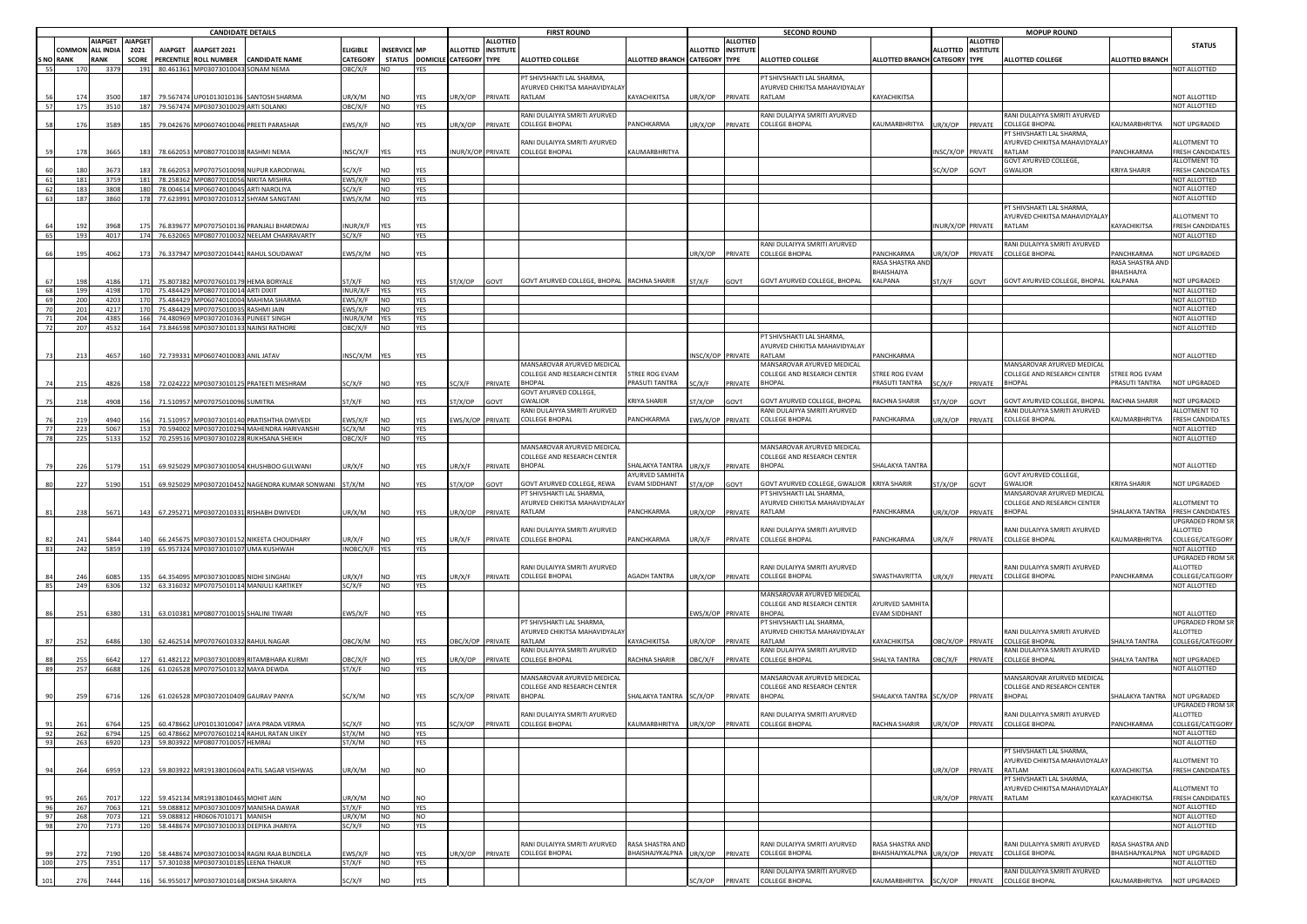|     |                | <b>CANDIDATE DETAILS</b> |                |                |                                       |                                                |                 |                |                 | <b>FIRST ROUND</b>   |                 |                                            |                               |                    | <b>SECOND ROUND</b> |                                      |                               |                    |                 | <b>MOPUP ROUND</b>                   |                        |                         |  |  |
|-----|----------------|--------------------------|----------------|----------------|---------------------------------------|------------------------------------------------|-----------------|----------------|-----------------|----------------------|-----------------|--------------------------------------------|-------------------------------|--------------------|---------------------|--------------------------------------|-------------------------------|--------------------|-----------------|--------------------------------------|------------------------|-------------------------|--|--|
|     |                |                          | IAPGET AIAPGET |                |                                       |                                                |                 |                |                 |                      | <b>ALLOTTED</b> |                                            |                               |                    | <b>ALLOTTED</b>     |                                      |                               |                    | <b>ALLOTTED</b> |                                      |                        | <b>STATUS</b>           |  |  |
|     | OMMON:         | ALL INDIA                | 2021           | <b>AIAPGET</b> | AIAPGET 2021                          |                                                | <b>ELIGIBLE</b> | INSERVICE MP   |                 | ALLOTTED INSTITUTE   |                 |                                            |                               | ALLOTTED INSTITUTE |                     |                                      |                               | ALLOTTED INSTITUTE |                 |                                      |                        |                         |  |  |
|     | <b>NO RANK</b> | RANK                     | <b>SCORE</b>   |                | PERCENTILE ROLL NUMBER                | CANDIDATE NAME                                 | CATEGORY        |                | STATUS DOMICILE | <b>CATEGORY TYPE</b> |                 | ALLOTTED COLLEGE                           | ALLOTTED BRANCH CATEGORY TYPE |                    |                     | <b>ALLOTTED COLLEGE</b>              | ALLOTTED BRANCH CATEGORY TYPE |                    |                 | <b>ALLOTTED COLLEGE</b>              | <b>ALLOTTED BRANCH</b> |                         |  |  |
| 55  | 170            | 3379                     | 191            |                | 80.461361 MP03073010043 SONAM NEMA    |                                                | OBC/X/F         | NO.            | <b>YES</b>      |                      |                 |                                            |                               |                    |                     |                                      |                               |                    |                 |                                      |                        | <b>VOT ALLOTTED</b>     |  |  |
|     |                |                          |                |                |                                       |                                                |                 |                |                 |                      |                 | PT SHIVSHAKTI LAL SHARMA,                  |                               |                    |                     | PT SHIVSHAKTI LAL SHARMA,            |                               |                    |                 |                                      |                        |                         |  |  |
|     |                |                          |                |                |                                       |                                                |                 |                |                 |                      |                 | AYURVED CHIKITSA MAHAVIDYALA               |                               |                    |                     | AYURVED CHIKITSA MAHAVIDYALAY        |                               |                    |                 |                                      |                        |                         |  |  |
|     |                | 3500                     |                | 79.567474      | JP01013010136                         | <b>SANTOSH SHARMA</b>                          | JR/X/M          | JΩ             | YES             | R/X/OP               | PRIVATE         | <b>RATI AM</b>                             | KAYACHIKITSA                  | UR/X/OP            | PRIVATE             | RATLAM                               | KAYACHIKITSA                  |                    |                 |                                      |                        | <b>IOT ALLOTTED</b>     |  |  |
|     | 175            | 3510                     | 187            |                | 79.567474 MP03073010029 ARTI SOLANKI  |                                                | DBC/X/F         | NO.            | <b>YES</b>      |                      |                 |                                            |                               |                    |                     |                                      |                               |                    |                 |                                      |                        | NOT ALLOTTED            |  |  |
|     |                |                          |                |                |                                       |                                                |                 |                |                 |                      |                 | ANI DULAIYYA SMRITI AYURVED                |                               |                    |                     | ANI DULAIYYA SMRITI AYURVED          |                               |                    |                 | ANI DULAIYYA SMRITI AYURVED          |                        |                         |  |  |
|     |                |                          |                |                |                                       |                                                |                 |                |                 |                      |                 |                                            |                               |                    |                     |                                      |                               |                    |                 |                                      |                        |                         |  |  |
|     |                | 3589                     |                | 79.04267       |                                       | MP06074010046 PREETI PARASHAR                  | WS/X/F          | 10             | YES             | JR/X/OP              | PRIVATE         | <b>COLLEGE BHOPAL</b>                      | PANCHKARMA                    | JR/X/OP            | PRIVATE             | COLLEGE BHOPAL                       | KAUMARBHRITYA                 | IR/X/OP            | PRIVATE         | <b>COLLEGE BHOPAL</b>                | KAUMARBHRITYA          | <b>VOT UPGRADED</b>     |  |  |
|     |                |                          |                |                |                                       |                                                |                 |                |                 |                      |                 |                                            |                               |                    |                     |                                      |                               |                    |                 | <sup>PT</sup> SHIVSHAKTI LAL SHARMA, |                        |                         |  |  |
|     |                |                          |                |                |                                       |                                                |                 |                |                 |                      |                 | RANI DULAIYYA SMRITI AYURVED               |                               |                    |                     |                                      |                               |                    |                 | AYURVED CHIKITSA MAHAVIDYALA         |                        | LLOTMENT TO             |  |  |
|     | 178            | 3665                     | 18             |                | 78.662053 MP08077010038 RASHMI NEMA   |                                                | NSC/X/F         | YES            | YES             | NUR/X/OP PRIVATE     |                 | <b>COLLEGE BHOPAL</b>                      | <b>KAUMARBHRITYA</b>          |                    |                     |                                      |                               | NSC/X/OP PRIVATE   |                 | RATLAM                               | PANCHKARMA             | RESH CANDIDATES         |  |  |
|     |                |                          |                |                |                                       |                                                |                 |                |                 |                      |                 |                                            |                               |                    |                     |                                      |                               |                    |                 | GOVT AYURVED COLLEGE,                |                        | <b>ALLOTMENT TO</b>     |  |  |
|     |                | 3673                     |                | 78.66205       | MP07075010098                         | NUPUR KARODIWAL                                | C/X/F           |                | YES             |                      |                 |                                            |                               |                    |                     |                                      |                               | C/X/OP             | <b>GOVT</b>     | <b>GWALIOR</b>                       | <b>KRIYA SHARIR</b>    | <b>RESH CANDIDATES</b>  |  |  |
|     | 181            | 3759                     | 181            |                | 78.258362 MP08077010056 NIKITA MISHRA |                                                | EWS/X/F         | <b>NO</b>      | <b>YES</b>      |                      |                 |                                            |                               |                    |                     |                                      |                               |                    |                 |                                      |                        | NOT ALLOTTED            |  |  |
|     | 183            | 3808                     | 180            |                | 78.004614 MP06074010045 ARTI NAROLIYA |                                                | SC/X/F          | <b>NO</b>      | YES             |                      |                 |                                            |                               |                    |                     |                                      |                               |                    |                 |                                      |                        | NOT ALLOTTED            |  |  |
| 63  | 187            | 3860                     | 178            |                |                                       | 77.623991 MP03072010312 SHYAM SANGTANI         | EWS/X/M NO      |                | YES             |                      |                 |                                            |                               |                    |                     |                                      |                               |                    |                 |                                      |                        | NOT ALLOTTED            |  |  |
|     |                |                          |                |                |                                       |                                                |                 |                |                 |                      |                 |                                            |                               |                    |                     |                                      |                               |                    |                 |                                      |                        |                         |  |  |
|     |                |                          |                |                |                                       |                                                |                 |                |                 |                      |                 |                                            |                               |                    |                     |                                      |                               |                    |                 | PT SHIVSHAKTI LAL SHARMA             |                        |                         |  |  |
|     |                |                          |                |                |                                       |                                                |                 |                |                 |                      |                 |                                            |                               |                    |                     |                                      |                               |                    |                 | AYURVED CHIKITSA MAHAVIDYALA         |                        | <b>ILLOTMENT TO</b>     |  |  |
|     |                | 3968                     |                | 76.83967       |                                       | MP07075010136 PRANJALI BHARDWAJ                | NUR/X/F         |                | YES             |                      |                 |                                            |                               |                    |                     |                                      |                               | NUR/X/OP PRIVATE   |                 | RATLAM                               | KAYACHIKITSA           | <b>RESH CANDIDATES</b>  |  |  |
| 65  | 193            | 4017                     |                |                |                                       | 174 76.632065 MP08077010032 NEELAM CHAKRAVARTY | SC/X/F          | <b>NO</b>      | YES             |                      |                 |                                            |                               |                    |                     |                                      |                               |                    |                 |                                      |                        | NOT ALLOTTED            |  |  |
|     |                |                          |                |                |                                       |                                                |                 |                |                 |                      |                 |                                            |                               |                    |                     | RANI DULAIYYA SMRITI AYURVED         |                               |                    |                 | RANI DULAIYYA SMRITI AYURVED         |                        |                         |  |  |
|     | 191            | 4062                     | 17             | 76.33794       |                                       | MP03072010441 RAHUL SOUDAWAT                   | :WS/X/M         | NO.            | YFS             |                      |                 |                                            |                               | IR/X/OP            | PRIVATE             | COLLEGE BHOPAL                       | <b>PANCHKARMA</b>             | JR/X/OP            | PRIVATE         | <b>COLLEGE BHOPAL</b>                | PANCHKARMA             | <b>NOT UPGRADED</b>     |  |  |
|     |                |                          |                |                |                                       |                                                |                 |                |                 |                      |                 |                                            |                               |                    |                     |                                      | RASA SHASTRA AN               |                    |                 |                                      | RASA SHASTRA AN        |                         |  |  |
|     |                |                          |                |                |                                       |                                                |                 |                |                 |                      |                 |                                            |                               |                    |                     |                                      | <b>BHAISHAJYA</b>             |                    |                 |                                      | BHAISHAJYA             |                         |  |  |
|     | 198            | 418                      | 17             |                | 75.807382 MP07076010179 HEMA BORYALE  |                                                | T/X/F           | N <sub>O</sub> | <b>YFS</b>      | T/X/OP               | GOVT            | GOVT AYURVED COLLEGE, BHOPAL RACHNA SHARIR |                               | ST/X/F             | GOVT                | GOVT AYURVED COLLEGE, BHOPAL         | KALPANA                       | ST/X/F             | <b>GOVT</b>     | GOVT AYURVED COLLEGE, BHOPAL         | KALPANA                | NOT UPGRADED            |  |  |
| 68  | 199            | 4198                     | 170            |                | 75.484429 MP08077010014 ARTI DIXIT    |                                                | INUR/X/F        | <b>YES</b>     | <b>YES</b>      |                      |                 |                                            |                               |                    |                     |                                      |                               |                    |                 |                                      |                        | NOT ALLOTTED            |  |  |
| 69  | 200            | 4203                     | 170            | 75.484429      |                                       | MP06074010004 MAHIMA SHARMA                    | :WS/X/F         | NO.            | <b>YES</b>      |                      |                 |                                            |                               |                    |                     |                                      |                               |                    |                 |                                      |                        | NOT ALLOTTED            |  |  |
|     |                |                          |                |                |                                       |                                                |                 |                |                 |                      |                 |                                            |                               |                    |                     |                                      |                               |                    |                 |                                      |                        |                         |  |  |
|     | 201            | 4217                     | 170            | 75.484429      |                                       | 1P07075010035 RASHMI JAIN                      | WS/X/F          | NO.            | <b>YES</b>      |                      |                 |                                            |                               |                    |                     |                                      |                               |                    |                 |                                      |                        | NOT ALLOTTED            |  |  |
| 71  | 204            | 4385                     | 166            | 74.480969      | MP03072010363 PUNEET SINGH            |                                                | INUR/X/M        | YES            | <b>YES</b>      |                      |                 |                                            |                               |                    |                     |                                      |                               |                    |                 |                                      |                        | NOT ALLOTTED            |  |  |
| 72  | 207            | 4532                     | 164            | 73.846598      |                                       | MP03073010133 NAINSI RATHORE                   | OBC/X/F         | <b>NO</b>      | <b>YES</b>      |                      |                 |                                            |                               |                    |                     |                                      |                               |                    |                 |                                      |                        | NOT ALLOTTED            |  |  |
|     |                |                          |                |                |                                       |                                                |                 |                |                 |                      |                 |                                            |                               |                    |                     | PT SHIVSHAKTI LAL SHARMA,            |                               |                    |                 |                                      |                        |                         |  |  |
|     |                |                          |                |                |                                       |                                                |                 |                |                 |                      |                 |                                            |                               |                    |                     | AYURVED CHIKITSA MAHAVIDYALAY        |                               |                    |                 |                                      |                        |                         |  |  |
|     | 21             | 4657                     |                | 72.73933       | MP06074010083 ANIL JATAV              |                                                | NSC/X/M         | <b>YES</b>     |                 |                      |                 |                                            |                               | NSC/X/OP PRIVATE   |                     | RATLAM                               | <b>ANCHKARMA</b>              |                    |                 |                                      |                        | <b>VOT ALLOTTED</b>     |  |  |
|     |                |                          |                |                |                                       |                                                |                 |                |                 |                      |                 | MANSAROVAR AYURVED MEDICAL                 |                               |                    |                     | MANSAROVAR AYURVED MEDICAL           |                               |                    |                 | MANSAROVAR AYURVED MEDICAL           |                        |                         |  |  |
|     |                |                          |                |                |                                       |                                                |                 |                |                 |                      |                 | COLLEGE AND RESEARCH CENTER                | <b>STREE ROG EVAM</b>         |                    |                     | COLLEGE AND RESEARCH CENTER          | <b>STREE ROG EVAM</b>         |                    |                 | COLLEGE AND RESEARCH CENTER          | <b>STREE ROG EVAM</b>  |                         |  |  |
|     |                |                          |                |                |                                       |                                                |                 |                |                 |                      |                 |                                            |                               |                    |                     |                                      |                               |                    |                 |                                      |                        |                         |  |  |
|     | 215            | 4826                     |                | 72.024222      |                                       | MP03073010125 PRATEETI MESHRAM                 | C/X/F           | <b>NO</b>      | <b>YES</b>      | SC/X/F               | PRIVATE         | BHOPAL                                     | PRASUTI TANTRA                | SC/X/F             | PRIVATE             | <b>BHOPAL</b>                        | PRASUTI TANTRA                | SC/X/F             | PRIVATE         | <b>BHOPAL</b>                        | PRASUTI TANTRA         | NOT UPGRADED            |  |  |
|     |                |                          |                |                |                                       |                                                |                 |                |                 |                      |                 | GOVT AYURVED COLLEGE,                      |                               |                    |                     |                                      |                               |                    |                 |                                      |                        |                         |  |  |
|     |                | 4908                     |                | 71.51095       | MP07075010096 SUMITRA                 |                                                | T/X/F           | NΟ             | <b>/FS</b>      | T/X/OP               | <b>GOVT</b>     | GWALIOR                                    | KRIYA SHARIR                  | T/X/OP             | <b>TVO</b>          | <b>GOVT AYURVED COLLEGE, BHOPAL</b>  | RACHNA SHARIR                 | T/X/OP             | <b>TVO</b>      | GOVT AYURVED COLLEGE, BHOPAL         | <b>RACHNA SHARIR</b>   | <b>IOT UPGRADED</b>     |  |  |
|     |                |                          |                |                |                                       |                                                |                 |                |                 |                      |                 | RANI DULAIYYA SMRITI AYURVED               |                               |                    |                     | RANI DULAIYYA SMRITI AYURVED         |                               |                    |                 | RANI DULAIYYA SMRITI AYURVED         |                        | ALLOTMENT TO            |  |  |
|     |                | 4940                     |                | 71.51095       |                                       | MP03073010140 PRATISHTHA DWIVEDI               | WS/X/F          | NO             | <b>/ES</b>      | WS/X/OP PRIVATE      |                 | COLLEGE BHOPAL                             | PANCHKARMA                    |                    | WS/X/OP PRIVATE     | <b>COLLEGE BHOPAL</b>                | <b>ANCHKARMA</b>              | IR/X/OP            | PRIVATE         | <b>COLLEGE BHOPAL</b>                | KAUMARBHRITYA          | <b>RESH CANDIDATES</b>  |  |  |
|     | 223            | 5067                     |                | 70.59400       |                                       | 1P03072010294 MAHENDRA HARIVANSHI              | C/X/M           | NO.            | YES             |                      |                 |                                            |                               |                    |                     |                                      |                               |                    |                 |                                      |                        | NOT ALLOTTED            |  |  |
|     | 225            | 5133                     |                | 70.259516      |                                       | MP03073010228 RUKHSANA SHEIKH                  | DBC/X/F         | NO             | YES             |                      |                 |                                            |                               |                    |                     |                                      |                               |                    |                 |                                      |                        | NOT ALLOTTED            |  |  |
|     |                |                          |                |                |                                       |                                                |                 |                |                 |                      |                 | MANSAROVAR AYURVED MEDICAL                 |                               |                    |                     | MANSAROVAR AYURVED MEDICAL           |                               |                    |                 |                                      |                        |                         |  |  |
|     |                |                          |                |                |                                       |                                                |                 |                |                 |                      |                 | COLLEGE AND RESEARCH CENTER                |                               |                    |                     |                                      |                               |                    |                 |                                      |                        |                         |  |  |
|     |                |                          |                |                |                                       |                                                |                 |                |                 |                      |                 |                                            |                               |                    |                     | COLLEGE AND RESEARCH CENTER          |                               |                    |                 |                                      |                        |                         |  |  |
|     | 226            | 5179                     |                |                |                                       | 69.925029 MP03073010054 KHUSHBOO GULWANI       | JR/X/F          | NO.            |                 | JR/X/F               | PRIVATE         | BHOPAL                                     | HALAKYA TANTRA                | UR/X/F             | <b>PRIVATE</b>      | <b>BHOPAL</b>                        | HAI AKYA TANTR                |                    |                 |                                      |                        | <b>IOT ALLOTTED</b>     |  |  |
|     |                |                          |                |                |                                       |                                                |                 |                |                 |                      |                 |                                            | AYURVED SAMHIT                |                    |                     |                                      |                               |                    |                 | GOVT AYURVED COLLEGE,                |                        |                         |  |  |
|     | 227            | 5190                     | -15            | 69.925029      |                                       | MP03072010452 NAGENDRA KUMAR SONWANI           | ST/X/M          | <b>NO</b>      | YES             | ST/X/OP              | GOVT            | GOVT AYURVED COLLEGE, REWA                 | VAM SIDDHANT                  | ST/X/OP            | GOVT                | GOVT AYURVED COLLEGE, GWALIOR        | KRIYA SHARIR                  | ST/X/OP            | GOVT            | <b>GWALIOR</b>                       | KRIYA SHARIR           | <b>NOT UPGRADED</b>     |  |  |
|     |                |                          |                |                |                                       |                                                |                 |                |                 |                      |                 | PT SHIVSHAKTI LAL SHARMA,                  |                               |                    |                     | PT SHIVSHAKTI LAL SHARMA,            |                               |                    |                 | MANSAROVAR AYURVED MEDICAL           |                        |                         |  |  |
|     |                |                          |                |                |                                       |                                                |                 |                |                 |                      |                 | AYURVED CHIKITSA MAHAVIDYAL                |                               |                    |                     | AYURVED CHIKITSA MAHAVIDYALAY        |                               |                    |                 | COLLEGE AND RESEARCH CENTER          |                        | <b>LLOTMENT TO</b>      |  |  |
|     | 238            | 5671                     | 14             |                |                                       | 67.295271 MP03072010331 RISHABH DWIVEDI        | JR/X/M          | <b>NO</b>      | <b>YES</b>      | JR/X/OP              | PRIVATE         | RATLAM                                     | <b>ANCHKARMA</b>              | JR/X/OP PRIVATE    |                     | RATLAM                               | <b>PANCHKARMA</b>             | IR/X/OP            | PRIVATE         | <b>BHOPAL</b>                        | <b>HALAKYA TANTRA</b>  | FRESH CANDIDATES        |  |  |
|     |                |                          |                |                |                                       |                                                |                 |                |                 |                      |                 |                                            |                               |                    |                     |                                      |                               |                    |                 |                                      |                        | JPGRADED FROM SR        |  |  |
|     |                |                          |                |                |                                       |                                                |                 |                |                 |                      |                 | RANI DULAIYYA SMRITI AYURVED               |                               |                    |                     | RANI DULAIYYA SMRITI AYURVED         |                               |                    |                 | RANI DULAIYYA SMRITI AYURVED         |                        | ALLOTTED                |  |  |
|     |                | 5844                     |                | 66.245675      |                                       |                                                | IR/X/F          |                | YFS             |                      | PRIVATE         | <b>COLLEGE BHOPAL</b>                      | ANCHKARMA                     | JR/X/F             |                     | <b>COLLEGE BHOPAL</b>                | <b>ANCHKARMA</b>              |                    |                 | <b>COLLEGE BHOPAL</b>                | KAUMARBHRITYA          | COLLEGE/CATEGORY        |  |  |
|     |                |                          |                |                |                                       | MP03073010152 NIKEETA CHOUDHARY                |                 |                |                 | JR/X/F               |                 |                                            |                               |                    | PRIVATE             |                                      |                               | IR/X/F             | PRIVATE         |                                      |                        |                         |  |  |
| 83  | 242            | 5859                     | 139            |                |                                       | 65.957324 MP03073010107 UMA KUSHWAH            | INOBC/X/F YES   |                | YES             |                      |                 |                                            |                               |                    |                     |                                      |                               |                    |                 |                                      |                        | NOT ALLOTTED            |  |  |
|     |                |                          |                |                |                                       |                                                |                 |                |                 |                      |                 |                                            |                               |                    |                     |                                      |                               |                    |                 |                                      |                        | <b>JPGRADED FROM SR</b> |  |  |
|     |                |                          |                |                |                                       |                                                |                 |                |                 |                      |                 | RANI DULAIYYA SMRITI AYURVED               |                               |                    |                     | RANI DULAIYYA SMRITI AYURVED         |                               |                    |                 | RANI DULAIYYA SMRITI AYURVED         |                        | <b>ILLOTTED</b>         |  |  |
|     |                | 6085                     |                |                | 64.354095 MP03073010085 NIDHI SINGHAI |                                                | IR/X/F          | NΩ             | YFS             | JR/X/F               | PRIVATE         | <b>COLLEGE BHOPAL</b>                      | <b>GADH TANTRA</b>            | JR/X/OP PRIVATE    |                     | <b>COLLEGE BHOPAL</b>                | <b>SWASTHAVRITTA</b>          | IR/X/F             | PRIVATE         | <b>COLLEGE BHOPAL</b>                | <b>ANCHKARMA</b>       | COLLEGE/CATEGORY        |  |  |
|     | 249            | 6306                     | 132            |                |                                       | 63.316032 MP07075010114 MANJULI KARTIKEY       | C/X/F           | <b>NO</b>      | <b>YES</b>      |                      |                 |                                            |                               |                    |                     |                                      |                               |                    |                 |                                      |                        | NOT ALLOTTED            |  |  |
|     |                |                          |                |                |                                       |                                                |                 |                |                 |                      |                 |                                            |                               |                    |                     | MANSAROVAR AYURVED MEDICAL           |                               |                    |                 |                                      |                        |                         |  |  |
|     |                |                          |                |                |                                       |                                                |                 |                |                 |                      |                 |                                            |                               |                    |                     | COLLEGE AND RESEARCH CENTER          | <b>AYURVED SAMHIT</b>         |                    |                 |                                      |                        |                         |  |  |
|     | 251            | 6380                     |                | 63.010381      |                                       | MP08077010015 SHALINI TIWARI                   | :WS/X/F         | NO.            | YES             |                      |                 |                                            |                               | WS/X/OP PRIVATE    |                     | <b>BHOPA</b>                         | VAM SIDDHANT                  |                    |                 |                                      |                        | <b>IOT ALLOTTED</b>     |  |  |
|     |                |                          |                |                |                                       |                                                |                 |                |                 |                      |                 | PT SHIVSHAKTI LAL SHARMA,                  |                               |                    |                     | <sup>PT</sup> SHIVSHAKTI LAL SHARMA, |                               |                    |                 |                                      |                        | JPGRADED FROM SR        |  |  |
|     |                |                          |                |                |                                       |                                                |                 |                |                 |                      |                 | AYURVED CHIKITSA MAHAVIDYALA               |                               |                    |                     |                                      |                               |                    |                 | RANI DULAIYYA SMRITI AYURVED         |                        | <b>ILLOTTED</b>         |  |  |
|     |                |                          |                |                |                                       |                                                |                 |                |                 |                      |                 |                                            |                               |                    |                     | AYURVED CHIKITSA MAHAVIDYALAY        |                               |                    |                 |                                      |                        |                         |  |  |
|     |                | 6486                     |                |                | 62.462514 MP07076010332 RAHUL NAGAR   |                                                | BC/X/M          |                | YFS             | BC/X/OP PRIVATE      |                 | MA ITAS                                    | <b>AYACHIKITSA</b>            | JR/X/OP            | PRIVATE             | ATI AM                               | <b>AYACHIKITSA</b>            | BC/X/OP PRIVATE    |                 | <b>COLLEGE BHOPAL</b>                | HALYA TANTRA           | COLLEGE/CATEGORY        |  |  |
|     |                |                          |                |                |                                       |                                                |                 |                |                 |                      |                 | RANI DULAIYYA SMRITI AYURVED               |                               |                    |                     | ANI DULAIYYA SMRITI AYURVED          |                               |                    |                 | RANI DULAIYYA SMRITI AYURVED         |                        |                         |  |  |
|     |                | 6642                     |                | 61.48212       |                                       | MP03073010089 RITAMBHARA KURMI                 | BC/X/F          | NΩ             | YES             | JR/X/OP              | PRIVATE         | <b>COLLEGE BHOPAL</b>                      | <b>ACHNA SHARIR</b>           | BC/X/F PRIVATE     |                     | <b>COLLEGE BHOPAL</b>                | HALYA TANTRA                  | BC/X/F             | PRIVATE         | <b>COLLEGE BHOPAL</b>                | SHALYA TANTRA          | <b>IOT UPGRADED</b>     |  |  |
|     | 257            | 6688                     | 126            |                | 61.026528 MP07075010132 MAYA DEWDA    |                                                | T/X/F           | NO.            | <b>YES</b>      |                      |                 |                                            |                               |                    |                     |                                      |                               |                    |                 |                                      |                        | NOT ALLOTTED            |  |  |
|     |                |                          |                |                |                                       |                                                |                 |                |                 |                      |                 | MANSAROVAR AYURVED MEDICAL                 |                               |                    |                     | MANSAROVAR AYURVED MEDICAL           |                               |                    |                 | MANSAROVAR AYURVED MEDICAL           |                        |                         |  |  |
|     |                |                          |                |                |                                       |                                                |                 |                |                 |                      |                 | COLLEGE AND RESEARCH CENTER                |                               |                    |                     | COLLEGE AND RESEARCH CENTER          |                               |                    |                 | COLLEGE AND RESEARCH CENTER          |                        |                         |  |  |
|     |                | 6716                     |                |                | 61.026528 MP03072010409 GAURAV PANYA  |                                                | C/X/M           | NO.            |                 | C/X/OP               | PRIVATE         | <b>HOPAL</b>                               | HALAKYA TANTRA                | SC/X/OP            | PRIVATE             | BHOPAL                               | <b>HALAKYA TANTRA</b>         | SC/X/OP            | <b>PRIVATE</b>  | <b>BHOPAL</b>                        | SHALAKYA TANTRA        | NOT UPGRADED.           |  |  |
|     |                |                          |                |                |                                       |                                                |                 |                |                 |                      |                 |                                            |                               |                    |                     |                                      |                               |                    |                 |                                      |                        | JPGRADED FROM SR        |  |  |
|     |                |                          |                |                |                                       |                                                |                 |                |                 |                      |                 | RANI DULAIYYA SMRITI AYURVED               |                               |                    |                     | RANI DULAIYYA SMRITI AYURVED         |                               |                    |                 | RANI DULAIYYA SMRITI AYURVED         |                        | ALLOTTED                |  |  |
|     |                |                          |                |                |                                       |                                                |                 |                |                 |                      |                 | OLLEGE BHODA                               |                               |                    |                     | OLLEGE BHODAI                        |                               |                    |                 | COLLEGE BHOBAL                       | <b>NCHKADMA</b>        |                         |  |  |
|     |                |                          |                | 50.4786t       | P01013010047                          | AYA PRADA VERM.                                |                 |                |                 |                      |                 |                                            |                               |                    |                     |                                      |                               |                    |                 |                                      |                        |                         |  |  |
| 92  | 262            | 6794                     | 125            |                |                                       | 60.478662 MP07076010214 RAHUL RATAN UIKEY      | ST/X/M          | <b>NO</b>      | <b>YES</b>      |                      |                 |                                            |                               |                    |                     |                                      |                               |                    |                 |                                      |                        | NOT ALLOTTED            |  |  |
| 93  | 263            | 6920                     | 123            |                | 59.803922 MP08077010057 HEMRAJ        |                                                | ST/X/M          | <b>NO</b>      | <b>YES</b>      |                      |                 |                                            |                               |                    |                     |                                      |                               |                    |                 |                                      |                        | NOT ALLOTTED            |  |  |
|     |                |                          |                |                |                                       |                                                |                 |                |                 |                      |                 |                                            |                               |                    |                     |                                      |                               |                    |                 | PT SHIVSHAKTI LAL SHARMA             |                        |                         |  |  |
|     |                |                          |                |                |                                       |                                                |                 |                |                 |                      |                 |                                            |                               |                    |                     |                                      |                               |                    |                 | AYURVED CHIKITSA MAHAVIDYALAY        |                        | ALLOTMENT TO            |  |  |
|     |                | 6959                     | 12             |                |                                       | 59.803922 MR19138010604 PATIL SAGAR VISHWAS    | JR/X/M          | <b>NO</b>      | N <sub>O</sub>  |                      |                 |                                            |                               |                    |                     |                                      |                               | JR/X/OP            | PRIVATE         | RATI AM                              | KAYACHIKITSA           | FRESH CANDIDATES        |  |  |
|     |                |                          |                |                |                                       |                                                |                 |                |                 |                      |                 |                                            |                               |                    |                     |                                      |                               |                    |                 | PT SHIVSHAKTI LAL SHARMA,            |                        |                         |  |  |
|     |                |                          |                |                |                                       |                                                |                 |                |                 |                      |                 |                                            |                               |                    |                     |                                      |                               |                    |                 | AYURVED CHIKITSA MAHAVIDYALAY        |                        | ALLOTMENT TO            |  |  |
|     |                |                          |                |                |                                       |                                                |                 |                |                 |                      |                 |                                            |                               |                    |                     |                                      |                               |                    |                 |                                      |                        |                         |  |  |
|     |                | 7017                     | 12             |                | 59.452134 MR19138010465 MOHIT JAIN    |                                                | JR/X/M          | NO.            | NO              |                      |                 |                                            |                               |                    |                     |                                      |                               | UR/X/OP            | PRIVATE         | RATI AM                              | KAYACHIKITSA           | <b>FRESH CANDIDATES</b> |  |  |
| 96  | 267            | 7063                     | 121            |                |                                       | 59.088812 MP03073010097 MANISHA DAWAR          | ST/X/F          | <b>NO</b>      | YES             |                      |                 |                                            |                               |                    |                     |                                      |                               |                    |                 |                                      |                        | NOT ALLOTTED            |  |  |
| 97  | 268            | 7073                     | 121            |                | 59.088812 HR06067010171 MANISH        |                                                | UR/X/M          | <b>NO</b>      | <b>NO</b>       |                      |                 |                                            |                               |                    |                     |                                      |                               |                    |                 |                                      |                        | NOT ALLOTTED            |  |  |
| 98  | 270            | 7173                     | 120            |                |                                       | 58.448674 MP03073010033 DEEPIKA JHARIYA        | SC/X/F          | <b>NO</b>      | <b>YES</b>      |                      |                 |                                            |                               |                    |                     |                                      |                               |                    |                 |                                      |                        | NOT ALLOTTED            |  |  |
|     |                |                          |                |                |                                       |                                                |                 |                |                 |                      |                 |                                            |                               |                    |                     |                                      |                               |                    |                 |                                      |                        |                         |  |  |
|     |                |                          |                |                |                                       |                                                |                 |                |                 |                      |                 | RANI DULAIYYA SMRITI AYURVED               | <b>RASA SHASTRA AND</b>       |                    |                     | RANI DUI AIYYA SMRITI AYURVED        | RASA SHASTRA AND              |                    |                 | RANI DULAIYYA SMRITI AYURVED         | RASA SHASTRA AND       |                         |  |  |
|     |                | 7190                     |                |                |                                       | 58.448674 MP03073010034 RAGNI RAJA BUNDELA     | :WS/X/F         | NO.            | YFS             | JR/X/OP              | PRIVATE         | COLLEGE BHOPAL                             | BHAISHAIYKALPNA               | JR/X/OP            | PRIVATE             | <b>COLLEGE BHOPAL</b>                | <b>BHAISHAJYKALPNA</b>        | UR/X/OP            | PRIVATE         | <b>COLLEGE BHOPAL</b>                | BHAISHAJYKALPNA        | NOT UPGRADED            |  |  |
| 100 |                |                          | 117            |                | 57.301038 MP03073010185 LEENA THAKUR  |                                                | ST/X/F          | <b>NO</b>      | YES             |                      |                 |                                            |                               |                    |                     |                                      |                               |                    |                 |                                      |                        |                         |  |  |
|     |                | 7351                     |                |                |                                       |                                                |                 |                |                 |                      |                 |                                            |                               |                    |                     |                                      |                               |                    |                 |                                      |                        | NOT ALLOTTED            |  |  |
|     |                |                          |                |                |                                       |                                                |                 |                |                 |                      |                 |                                            |                               |                    |                     | RANI DULAIYYA SMRITI AYURVED         |                               |                    |                 | RANI DULAIYYA SMRITI AYURVED         |                        |                         |  |  |
|     |                | 7444                     |                |                |                                       | 56.955017 MP03073010168 DIKSHA SIKARIYA        | G/X/F           | N <sub>O</sub> | YFS             |                      |                 |                                            |                               | SC/X/OP            | PRIVATE             | <b>COLLEGE BHOPAL</b>                | KAUMARBHRITYA                 | (Y X)              | PRIVATE         | <b>COLLEGE BHOPAL</b>                | KAUMARBHRITYA          | NOT UPGRADED            |  |  |